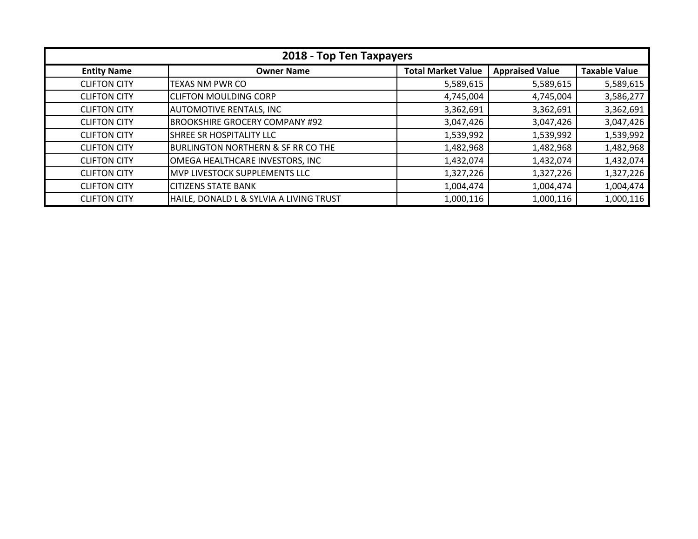| 2018 - Top Ten Taxpayers |                                               |                           |                        |                      |
|--------------------------|-----------------------------------------------|---------------------------|------------------------|----------------------|
| <b>Entity Name</b>       | <b>Owner Name</b>                             | <b>Total Market Value</b> | <b>Appraised Value</b> | <b>Taxable Value</b> |
| <b>CLIFTON CITY</b>      | <b>TEXAS NM PWR CO</b>                        | 5,589,615                 | 5,589,615              | 5,589,615            |
| <b>CLIFTON CITY</b>      | <b>CLIFTON MOULDING CORP</b>                  | 4,745,004                 | 4,745,004              | 3,586,277            |
| <b>CLIFTON CITY</b>      | <b>AUTOMOTIVE RENTALS, INC</b>                | 3,362,691                 | 3,362,691              | 3,362,691            |
| <b>CLIFTON CITY</b>      | <b>BROOKSHIRE GROCERY COMPANY #92</b>         | 3,047,426                 | 3,047,426              | 3,047,426            |
| <b>CLIFTON CITY</b>      | ISHREE SR HOSPITALITY LLC                     | 1,539,992                 | 1,539,992              | 1,539,992            |
| <b>CLIFTON CITY</b>      | <b>BURLINGTON NORTHERN &amp; SF RR CO THE</b> | 1,482,968                 | 1,482,968              | 1,482,968            |
| <b>CLIFTON CITY</b>      | OMEGA HEALTHCARE INVESTORS, INC               | 1,432,074                 | 1,432,074              | 1,432,074            |
| <b>CLIFTON CITY</b>      | IMVP LIVESTOCK SUPPLEMENTS LLC                | 1,327,226                 | 1,327,226              | 1,327,226            |
| <b>CLIFTON CITY</b>      | <b>CITIZENS STATE BANK</b>                    | 1,004,474                 | 1,004,474              | 1,004,474            |
| <b>CLIFTON CITY</b>      | HAILE, DONALD L & SYLVIA A LIVING TRUST       | 1,000,116                 | 1,000,116              | 1,000,116            |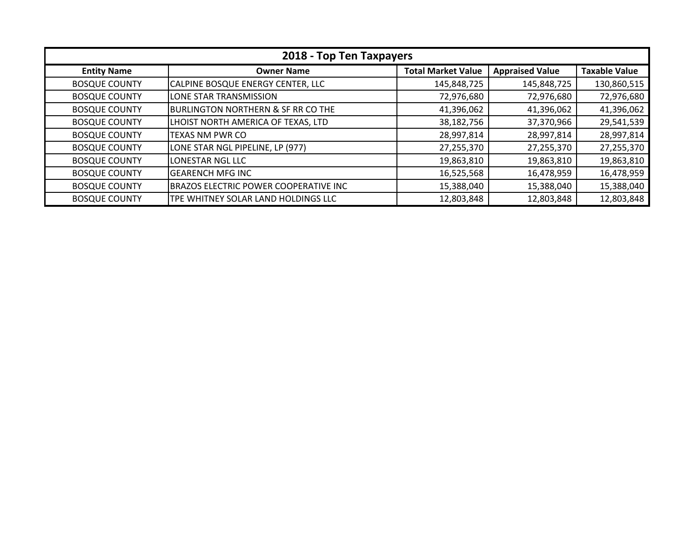| 2018 - Top Ten Taxpayers |                                            |                           |                        |                      |
|--------------------------|--------------------------------------------|---------------------------|------------------------|----------------------|
| <b>Entity Name</b>       | <b>Owner Name</b>                          | <b>Total Market Value</b> | <b>Appraised Value</b> | <b>Taxable Value</b> |
| <b>BOSQUE COUNTY</b>     | CALPINE BOSQUE ENERGY CENTER, LLC          | 145,848,725               | 145,848,725            | 130,860,515          |
| <b>BOSQUE COUNTY</b>     | LONE STAR TRANSMISSION                     | 72,976,680                | 72,976,680             | 72,976,680           |
| <b>BOSQUE COUNTY</b>     | BURLINGTON NORTHERN & SF RR CO THE         | 41,396,062                | 41,396,062             | 41,396,062           |
| <b>BOSQUE COUNTY</b>     | LHOIST NORTH AMERICA OF TEXAS, LTD         | 38,182,756                | 37,370,966             | 29,541,539           |
| <b>BOSQUE COUNTY</b>     | <b>TEXAS NM PWR CO</b>                     | 28,997,814                | 28,997,814             | 28,997,814           |
| <b>BOSQUE COUNTY</b>     | LONE STAR NGL PIPELINE, LP (977)           | 27,255,370                | 27,255,370             | 27,255,370           |
| <b>BOSQUE COUNTY</b>     | LONESTAR NGL LLC                           | 19,863,810                | 19,863,810             | 19,863,810           |
| <b>BOSQUE COUNTY</b>     | IGEARENCH MFG INC                          | 16,525,568                | 16,478,959             | 16,478,959           |
| <b>BOSQUE COUNTY</b>     | BRAZOS ELECTRIC POWER COOPERATIVE INC      | 15,388,040                | 15,388,040             | 15,388,040           |
| <b>BOSQUE COUNTY</b>     | <b>TPE WHITNEY SOLAR LAND HOLDINGS LLC</b> | 12,803,848                | 12,803,848             | 12,803,848           |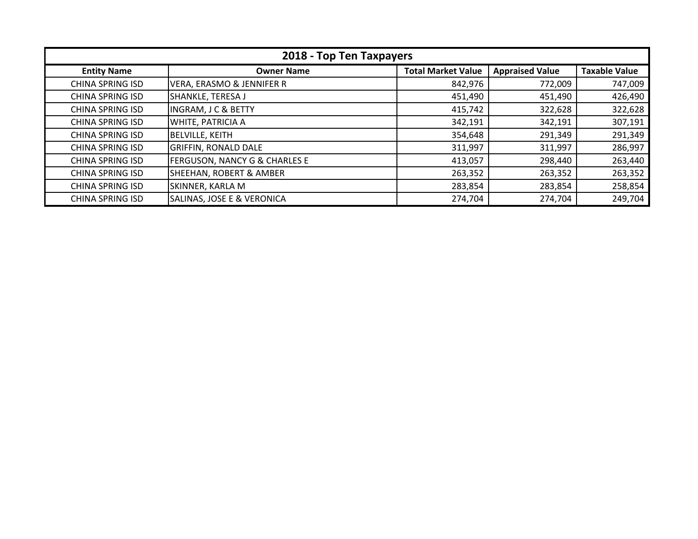| 2018 - Top Ten Taxpayers |                                          |                           |                        |                      |
|--------------------------|------------------------------------------|---------------------------|------------------------|----------------------|
| <b>Entity Name</b>       | <b>Owner Name</b>                        | <b>Total Market Value</b> | <b>Appraised Value</b> | <b>Taxable Value</b> |
| <b>CHINA SPRING ISD</b>  | VERA, ERASMO & JENNIFER R                | 842,976                   | 772,009                | 747,009              |
| <b>CHINA SPRING ISD</b>  | SHANKLE, TERESA J                        | 451,490                   | 451,490                | 426,490              |
| <b>CHINA SPRING ISD</b>  | <b>INGRAM, J C &amp; BETTY</b>           | 415,742                   | 322,628                | 322,628              |
| <b>CHINA SPRING ISD</b>  | <b>WHITE, PATRICIA A</b>                 | 342,191                   | 342,191                | 307,191              |
| <b>CHINA SPRING ISD</b>  | <b>BELVILLE, KEITH</b>                   | 354,648                   | 291,349                | 291,349              |
| <b>CHINA SPRING ISD</b>  | <b>GRIFFIN, RONALD DALE</b>              | 311,997                   | 311,997                | 286,997              |
| <b>CHINA SPRING ISD</b>  | <b>FERGUSON, NANCY G &amp; CHARLES E</b> | 413,057                   | 298,440                | 263,440              |
| <b>CHINA SPRING ISD</b>  | <b>SHEEHAN, ROBERT &amp; AMBER</b>       | 263,352                   | 263,352                | 263,352              |
| <b>CHINA SPRING ISD</b>  | SKINNER, KARLA M                         | 283,854                   | 283,854                | 258,854              |
| <b>CHINA SPRING ISD</b>  | SALINAS, JOSE E & VERONICA               | 274,704                   | 274,704                | 249,704              |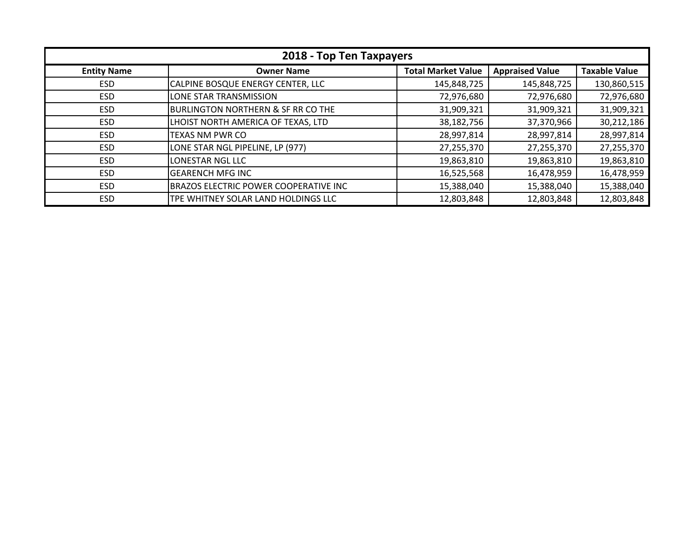| 2018 - Top Ten Taxpayers |                                               |                           |                        |                      |
|--------------------------|-----------------------------------------------|---------------------------|------------------------|----------------------|
| <b>Entity Name</b>       | <b>Owner Name</b>                             | <b>Total Market Value</b> | <b>Appraised Value</b> | <b>Taxable Value</b> |
| ESD.                     | CALPINE BOSQUE ENERGY CENTER, LLC             | 145,848,725               | 145,848,725            | 130,860,515          |
| <b>ESD</b>               | LONE STAR TRANSMISSION                        | 72,976,680                | 72,976,680             | 72,976,680           |
| <b>ESD</b>               | <b>BURLINGTON NORTHERN &amp; SF RR CO THE</b> | 31,909,321                | 31,909,321             | 31,909,321           |
| <b>ESD</b>               | LHOIST NORTH AMERICA OF TEXAS, LTD            | 38,182,756                | 37,370,966             | 30,212,186           |
| <b>ESD</b>               | <b>TEXAS NM PWR CO</b>                        | 28,997,814                | 28,997,814             | 28,997,814           |
| <b>ESD</b>               | LONE STAR NGL PIPELINE, LP (977)              | 27,255,370                | 27,255,370             | 27,255,370           |
| <b>ESD</b>               | <b>LONESTAR NGL LLC</b>                       | 19,863,810                | 19,863,810             | 19,863,810           |
| <b>ESD</b>               | <b>GEARENCH MFG INC</b>                       | 16,525,568                | 16,478,959             | 16,478,959           |
| <b>ESD</b>               | <b>BRAZOS ELECTRIC POWER COOPERATIVE INC</b>  | 15,388,040                | 15,388,040             | 15,388,040           |
| <b>ESD</b>               | TPE WHITNEY SOLAR LAND HOLDINGS LLC           | 12,803,848                | 12,803,848             | 12,803,848           |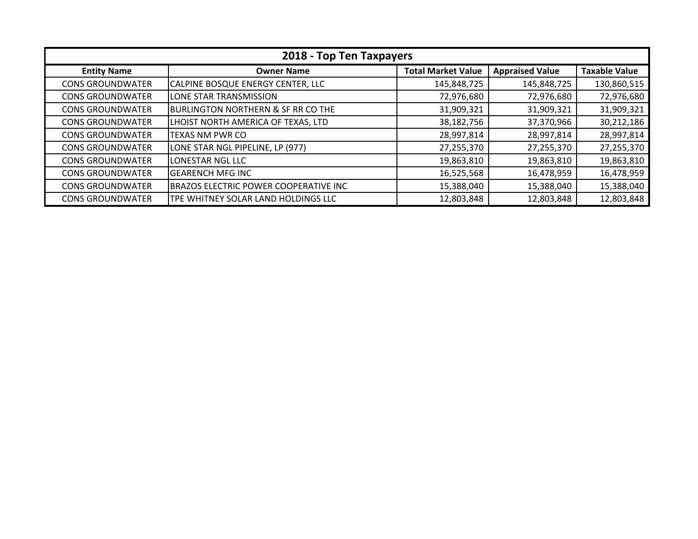| 2018 - Top Ten Taxpayers |                                               |                           |                        |                      |
|--------------------------|-----------------------------------------------|---------------------------|------------------------|----------------------|
| <b>Entity Name</b>       | <b>Owner Name</b>                             | <b>Total Market Value</b> | <b>Appraised Value</b> | <b>Taxable Value</b> |
| <b>CONS GROUNDWATER</b>  | <b>CALPINE BOSQUE ENERGY CENTER, LLC</b>      | 145,848,725               | 145,848,725            | 130,860,515          |
| <b>CONS GROUNDWATER</b>  | LONE STAR TRANSMISSION                        | 72,976,680                | 72,976,680             | 72,976,680           |
| <b>CONS GROUNDWATER</b>  | <b>BURLINGTON NORTHERN &amp; SF RR CO THE</b> | 31,909,321                | 31,909,321             | 31,909,321           |
| <b>CONS GROUNDWATER</b>  | LHOIST NORTH AMERICA OF TEXAS, LTD            | 38,182,756                | 37,370,966             | 30,212,186           |
| <b>CONS GROUNDWATER</b>  | TEXAS NM PWR CO                               | 28,997,814                | 28,997,814             | 28,997,814           |
| <b>CONS GROUNDWATER</b>  | LONE STAR NGL PIPELINE, LP (977)              | 27,255,370                | 27,255,370             | 27,255,370           |
| <b>CONS GROUNDWATER</b>  | LONESTAR NGL LLC                              | 19,863,810                | 19,863,810             | 19,863,810           |
| <b>CONS GROUNDWATER</b>  | <b>GEARENCH MFG INC</b>                       | 16,525,568                | 16,478,959             | 16,478,959           |
| <b>CONS GROUNDWATER</b>  | BRAZOS ELECTRIC POWER COOPERATIVE INC         | 15,388,040                | 15,388,040             | 15,388,040           |
| <b>CONS GROUNDWATER</b>  | TPE WHITNEY SOLAR LAND HOLDINGS LLC           | 12,803,848                | 12,803,848             | 12,803,848           |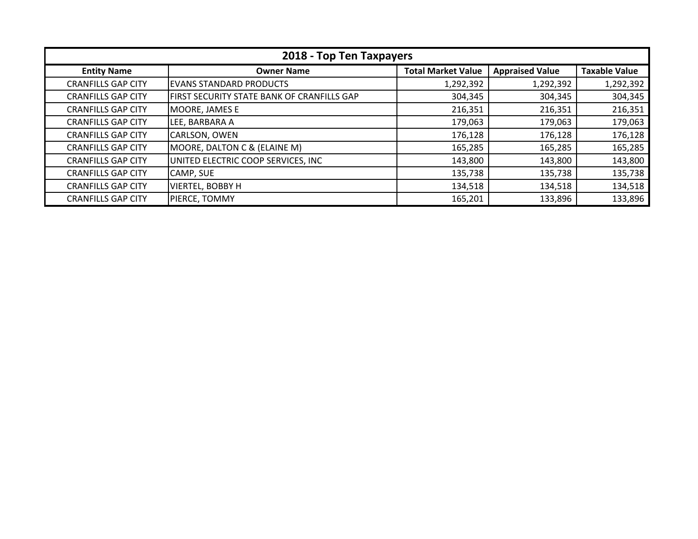| 2018 - Top Ten Taxpayers  |                                            |                           |                        |                      |
|---------------------------|--------------------------------------------|---------------------------|------------------------|----------------------|
| <b>Entity Name</b>        | <b>Owner Name</b>                          | <b>Total Market Value</b> | <b>Appraised Value</b> | <b>Taxable Value</b> |
| <b>CRANFILLS GAP CITY</b> | <b>EVANS STANDARD PRODUCTS</b>             | 1,292,392                 | 1,292,392              | 1,292,392            |
| <b>CRANFILLS GAP CITY</b> | FIRST SECURITY STATE BANK OF CRANFILLS GAP | 304,345                   | 304,345                | 304,345              |
| <b>CRANFILLS GAP CITY</b> | MOORE, JAMES E                             | 216,351                   | 216,351                | 216,351              |
| <b>CRANFILLS GAP CITY</b> | LEE, BARBARA A                             | 179,063                   | 179,063                | 179,063              |
| <b>CRANFILLS GAP CITY</b> | CARLSON, OWEN                              | 176,128                   | 176,128                | 176,128              |
| <b>CRANFILLS GAP CITY</b> | MOORE, DALTON C & (ELAINE M)               | 165,285                   | 165,285                | 165,285              |
| <b>CRANFILLS GAP CITY</b> | UNITED ELECTRIC COOP SERVICES, INC         | 143,800                   | 143,800                | 143,800              |
| <b>CRANFILLS GAP CITY</b> | CAMP, SUE                                  | 135,738                   | 135,738                | 135,738              |
| <b>CRANFILLS GAP CITY</b> | <b>VIERTEL, BOBBY H</b>                    | 134,518                   | 134,518                | 134,518              |
| <b>CRANFILLS GAP CITY</b> | PIERCE, TOMMY                              | 165,201                   | 133,896                | 133,896              |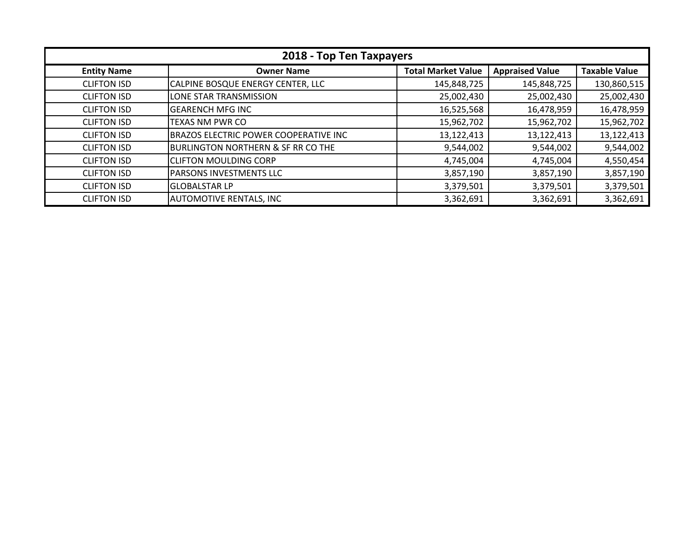| 2018 - Top Ten Taxpayers |                                               |                           |                        |                      |
|--------------------------|-----------------------------------------------|---------------------------|------------------------|----------------------|
| <b>Entity Name</b>       | <b>Owner Name</b>                             | <b>Total Market Value</b> | <b>Appraised Value</b> | <b>Taxable Value</b> |
| <b>CLIFTON ISD</b>       | CALPINE BOSQUE ENERGY CENTER, LLC             | 145,848,725               | 145,848,725            | 130,860,515          |
| <b>CLIFTON ISD</b>       | LONE STAR TRANSMISSION                        | 25,002,430                | 25,002,430             | 25,002,430           |
| <b>CLIFTON ISD</b>       | <b>GEARENCH MFG INC</b>                       | 16,525,568                | 16,478,959             | 16,478,959           |
| <b>CLIFTON ISD</b>       | <b>TEXAS NM PWR CO</b>                        | 15,962,702                | 15,962,702             | 15,962,702           |
| <b>CLIFTON ISD</b>       | BRAZOS ELECTRIC POWER COOPERATIVE INC         | 13,122,413                | 13,122,413             | 13,122,413           |
| <b>CLIFTON ISD</b>       | <b>BURLINGTON NORTHERN &amp; SF RR CO THE</b> | 9,544,002                 | 9,544,002              | 9,544,002            |
| <b>CLIFTON ISD</b>       | <b>CLIFTON MOULDING CORP</b>                  | 4,745,004                 | 4,745,004              | 4,550,454            |
| <b>CLIFTON ISD</b>       | PARSONS INVESTMENTS LLC                       | 3,857,190                 | 3,857,190              | 3,857,190            |
| <b>CLIFTON ISD</b>       | <b>GLOBALSTAR LP</b>                          | 3,379,501                 | 3,379,501              | 3,379,501            |
| <b>CLIFTON ISD</b>       | <b>AUTOMOTIVE RENTALS, INC</b>                | 3,362,691                 | 3,362,691              | 3,362,691            |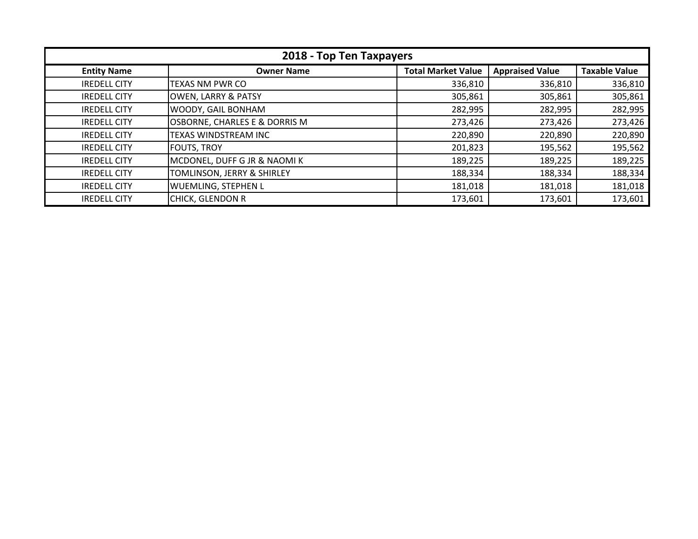| 2018 - Top Ten Taxpayers |                                       |                           |                        |                      |
|--------------------------|---------------------------------------|---------------------------|------------------------|----------------------|
| <b>Entity Name</b>       | <b>Owner Name</b>                     | <b>Total Market Value</b> | <b>Appraised Value</b> | <b>Taxable Value</b> |
| <b>IREDELL CITY</b>      | <b>TEXAS NM PWR CO</b>                | 336,810                   | 336,810                | 336,810              |
| <b>IREDELL CITY</b>      | <b>OWEN, LARRY &amp; PATSY</b>        | 305,861                   | 305,861                | 305,861              |
| <b>IREDELL CITY</b>      | WOODY, GAIL BONHAM                    | 282,995                   | 282,995                | 282,995              |
| <b>IREDELL CITY</b>      | OSBORNE, CHARLES E & DORRIS M         | 273,426                   | 273,426                | 273,426              |
| <b>IREDELL CITY</b>      | TEXAS WINDSTREAM INC                  | 220,890                   | 220,890                | 220,890              |
| <b>IREDELL CITY</b>      | <b>FOUTS, TROY</b>                    | 201,823                   | 195,562                | 195,562              |
| <b>IREDELL CITY</b>      | MCDONEL, DUFF G JR & NAOMIK           | 189,225                   | 189,225                | 189,225              |
| <b>IREDELL CITY</b>      | <b>TOMLINSON, JERRY &amp; SHIRLEY</b> | 188,334                   | 188,334                | 188,334              |
| <b>IREDELL CITY</b>      | <b>WUEMLING, STEPHEN L</b>            | 181,018                   | 181,018                | 181,018              |
| <b>IREDELL CITY</b>      | <b>CHICK, GLENDON R</b>               | 173,601                   | 173,601                | 173,601              |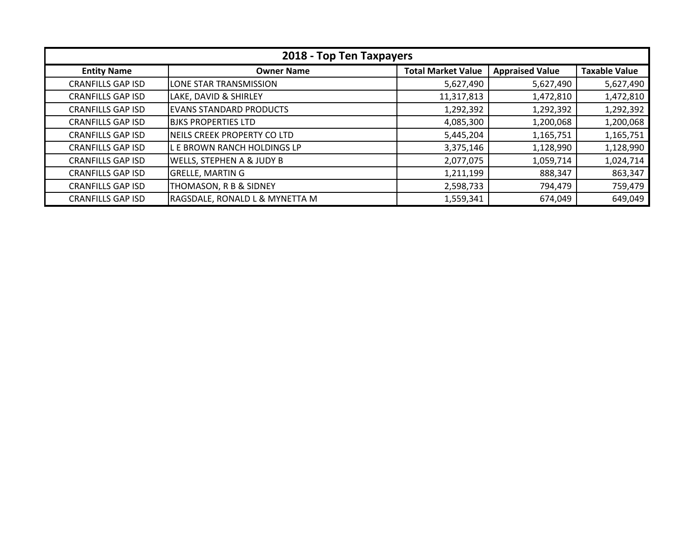| 2018 - Top Ten Taxpayers |                                      |                           |                        |                      |
|--------------------------|--------------------------------------|---------------------------|------------------------|----------------------|
| <b>Entity Name</b>       | <b>Owner Name</b>                    | <b>Total Market Value</b> | <b>Appraised Value</b> | <b>Taxable Value</b> |
| <b>CRANFILLS GAP ISD</b> | LONE STAR TRANSMISSION               | 5,627,490                 | 5,627,490              | 5,627,490            |
| <b>CRANFILLS GAP ISD</b> | LAKE, DAVID & SHIRLEY                | 11,317,813                | 1,472,810              | 1,472,810            |
| <b>CRANFILLS GAP ISD</b> | EVANS STANDARD PRODUCTS              | 1,292,392                 | 1,292,392              | 1,292,392            |
| <b>CRANFILLS GAP ISD</b> | <b>BJKS PROPERTIES LTD</b>           | 4,085,300                 | 1,200,068              | 1,200,068            |
| <b>CRANFILLS GAP ISD</b> | INEILS CREEK PROPERTY CO LTD         | 5,445,204                 | 1,165,751              | 1,165,751            |
| <b>CRANFILLS GAP ISD</b> | L E BROWN RANCH HOLDINGS LP          | 3,375,146                 | 1,128,990              | 1,128,990            |
| <b>CRANFILLS GAP ISD</b> | <b>WELLS, STEPHEN A &amp; JUDY B</b> | 2,077,075                 | 1,059,714              | 1,024,714            |
| <b>CRANFILLS GAP ISD</b> | <b>GRELLE, MARTIN G</b>              | 1,211,199                 | 888,347                | 863,347              |
| <b>CRANFILLS GAP ISD</b> | THOMASON, R B & SIDNEY               | 2,598,733                 | 794,479                | 759,479              |
| <b>CRANFILLS GAP ISD</b> | RAGSDALE, RONALD L & MYNETTA M       | 1,559,341                 | 674,049                | 649,049              |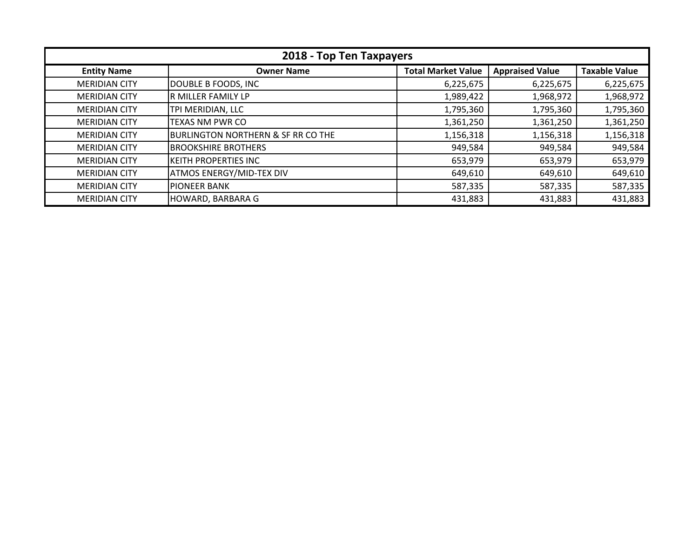| 2018 - Top Ten Taxpayers |                                               |                           |                        |                      |
|--------------------------|-----------------------------------------------|---------------------------|------------------------|----------------------|
| <b>Entity Name</b>       | <b>Owner Name</b>                             | <b>Total Market Value</b> | <b>Appraised Value</b> | <b>Taxable Value</b> |
| <b>MERIDIAN CITY</b>     | DOUBLE B FOODS, INC                           | 6,225,675                 | 6,225,675              | 6,225,675            |
| <b>MERIDIAN CITY</b>     | R MILLER FAMILY LP                            | 1,989,422                 | 1,968,972              | 1,968,972            |
| <b>MERIDIAN CITY</b>     | TPI MERIDIAN, LLC                             | 1,795,360                 | 1,795,360              | 1,795,360            |
| <b>MERIDIAN CITY</b>     | <b>TEXAS NM PWR CO</b>                        | 1,361,250                 | 1,361,250              | 1,361,250            |
| <b>MERIDIAN CITY</b>     | <b>BURLINGTON NORTHERN &amp; SF RR CO THE</b> | 1,156,318                 | 1,156,318              | 1,156,318            |
| <b>MERIDIAN CITY</b>     | <b>BROOKSHIRE BROTHERS</b>                    | 949,584                   | 949,584                | 949,584              |
| <b>MERIDIAN CITY</b>     | <b>KEITH PROPERTIES INC</b>                   | 653,979                   | 653,979                | 653,979              |
| <b>MERIDIAN CITY</b>     | <b>ATMOS ENERGY/MID-TEX DIV</b>               | 649,610                   | 649,610                | 649,610              |
| <b>MERIDIAN CITY</b>     | <b>PIONEER BANK</b>                           | 587,335                   | 587,335                | 587,335              |
| <b>MERIDIAN CITY</b>     | HOWARD, BARBARA G                             | 431,883                   | 431,883                | 431,883              |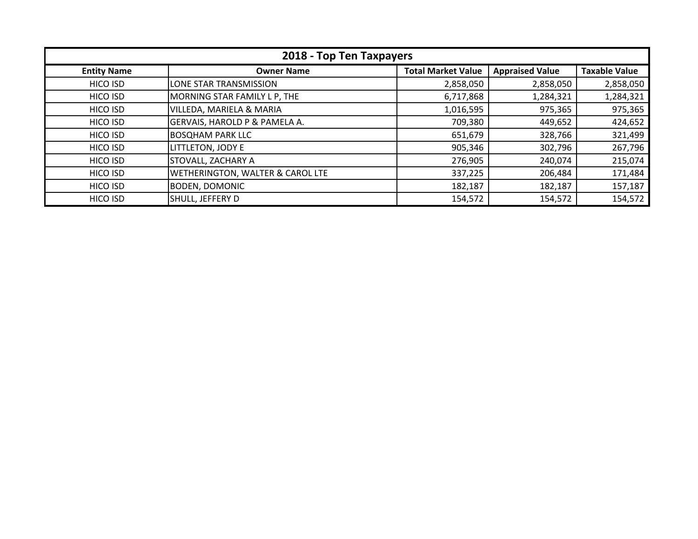| 2018 - Top Ten Taxpayers |                                             |                           |                        |                      |
|--------------------------|---------------------------------------------|---------------------------|------------------------|----------------------|
| <b>Entity Name</b>       | <b>Owner Name</b>                           | <b>Total Market Value</b> | <b>Appraised Value</b> | <b>Taxable Value</b> |
| HICO ISD                 | LONE STAR TRANSMISSION                      | 2,858,050                 | 2,858,050              | 2,858,050            |
| HICO ISD                 | MORNING STAR FAMILY L P, THE                | 6,717,868                 | 1,284,321              | 1,284,321            |
| HICO ISD                 | VILLEDA, MARIELA & MARIA                    | 1,016,595                 | 975,365                | 975,365              |
| HICO ISD                 | GERVAIS, HAROLD P & PAMELA A.               | 709,380                   | 449,652                | 424,652              |
| HICO ISD                 | <b>BOSQHAM PARK LLC</b>                     | 651,679                   | 328,766                | 321,499              |
| HICO ISD                 | LITTLETON, JODY E                           | 905,346                   | 302,796                | 267,796              |
| HICO ISD                 | <b>STOVALL, ZACHARY A</b>                   | 276,905                   | 240,074                | 215,074              |
| HICO ISD                 | <b>WETHERINGTON, WALTER &amp; CAROL LTE</b> | 337,225                   | 206,484                | 171,484              |
| HICO ISD                 | <b>BODEN, DOMONIC</b>                       | 182,187                   | 182,187                | 157,187              |
| HICO ISD                 | SHULL, JEFFERY D                            | 154,572                   | 154,572                | 154,572              |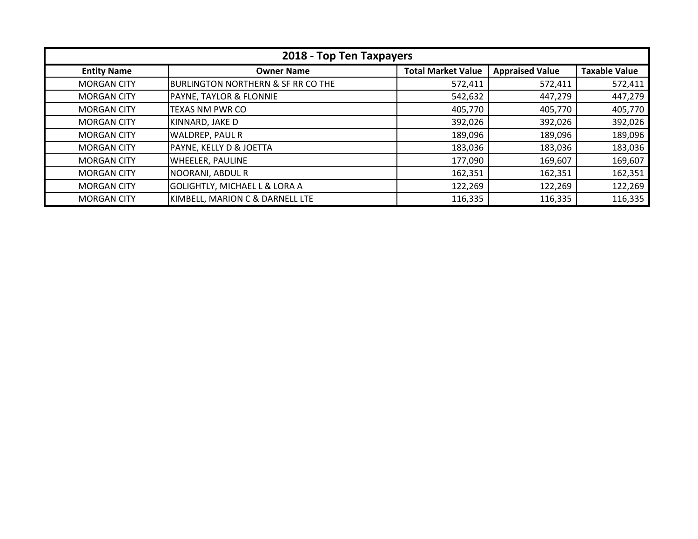| 2018 - Top Ten Taxpayers |                                               |                           |                        |                      |
|--------------------------|-----------------------------------------------|---------------------------|------------------------|----------------------|
| <b>Entity Name</b>       | <b>Owner Name</b>                             | <b>Total Market Value</b> | <b>Appraised Value</b> | <b>Taxable Value</b> |
| <b>MORGAN CITY</b>       | <b>BURLINGTON NORTHERN &amp; SF RR CO THE</b> | 572,411                   | 572,411                | 572,411              |
| <b>MORGAN CITY</b>       | PAYNE, TAYLOR & FLONNIE                       | 542,632                   | 447,279                | 447,279              |
| <b>MORGAN CITY</b>       | <b>TEXAS NM PWR CO</b>                        | 405,770                   | 405,770                | 405,770              |
| <b>MORGAN CITY</b>       | KINNARD, JAKE D                               | 392,026                   | 392,026                | 392,026              |
| <b>MORGAN CITY</b>       | WALDREP, PAUL R                               | 189,096                   | 189,096                | 189,096              |
| <b>MORGAN CITY</b>       | PAYNE, KELLY D & JOETTA                       | 183,036                   | 183,036                | 183,036              |
| <b>MORGAN CITY</b>       | <b>WHEELER, PAULINE</b>                       | 177,090                   | 169,607                | 169,607              |
| <b>MORGAN CITY</b>       | <b>NOORANI, ABDUL R</b>                       | 162,351                   | 162,351                | 162,351              |
| <b>MORGAN CITY</b>       | <b>GOLIGHTLY, MICHAEL L &amp; LORA A</b>      | 122,269                   | 122,269                | 122,269              |
| <b>MORGAN CITY</b>       | KIMBELL, MARION C & DARNELL LTE               | 116,335                   | 116,335                | 116,335              |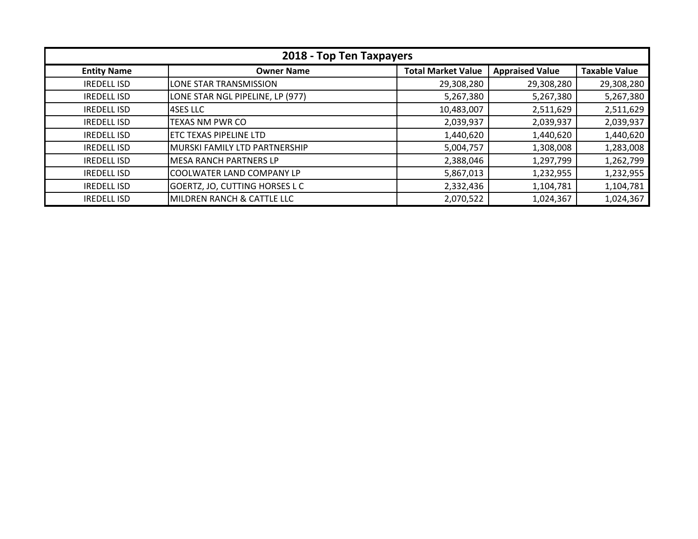| 2018 - Top Ten Taxpayers |                                  |                           |                        |                      |
|--------------------------|----------------------------------|---------------------------|------------------------|----------------------|
| <b>Entity Name</b>       | <b>Owner Name</b>                | <b>Total Market Value</b> | <b>Appraised Value</b> | <b>Taxable Value</b> |
| <b>IREDELL ISD</b>       | <b>LONE STAR TRANSMISSION</b>    | 29,308,280                | 29,308,280             | 29,308,280           |
| <b>IREDELL ISD</b>       | LONE STAR NGL PIPELINE, LP (977) | 5,267,380                 | 5,267,380              | 5,267,380            |
| <b>IREDELL ISD</b>       | <b>4SES LLC</b>                  | 10,483,007                | 2,511,629              | 2,511,629            |
| <b>IREDELL ISD</b>       | <b>TEXAS NM PWR CO</b>           | 2,039,937                 | 2,039,937              | 2,039,937            |
| <b>IREDELL ISD</b>       | ETC TEXAS PIPELINE LTD           | 1,440,620                 | 1,440,620              | 1,440,620            |
| <b>IREDELL ISD</b>       | MURSKI FAMILY LTD PARTNERSHIP    | 5,004,757                 | 1,308,008              | 1,283,008            |
| <b>IREDELL ISD</b>       | <b>MESA RANCH PARTNERS LP</b>    | 2,388,046                 | 1,297,799              | 1,262,799            |
| <b>IREDELL ISD</b>       | COOLWATER LAND COMPANY LP        | 5,867,013                 | 1,232,955              | 1,232,955            |
| <b>IREDELL ISD</b>       | GOERTZ, JO, CUTTING HORSES L C   | 2,332,436                 | 1,104,781              | 1,104,781            |
| <b>IREDELL ISD</b>       | MILDREN RANCH & CATTLE LLC       | 2,070,522                 | 1,024,367              | 1,024,367            |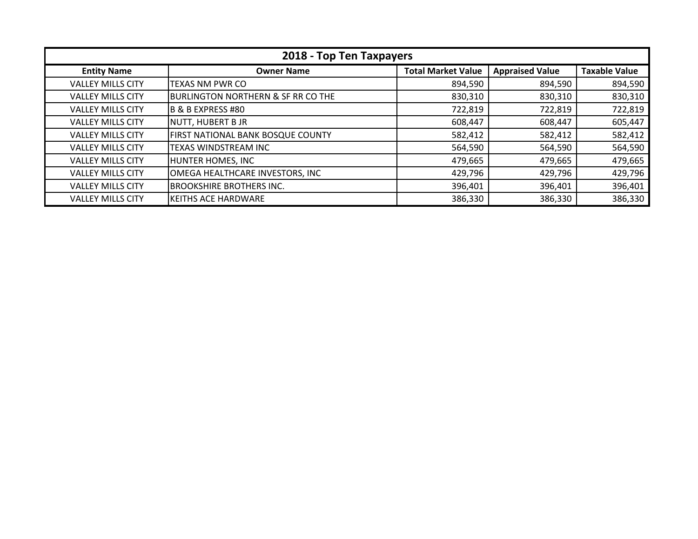| 2018 - Top Ten Taxpayers |                                               |                           |                        |                      |
|--------------------------|-----------------------------------------------|---------------------------|------------------------|----------------------|
| <b>Entity Name</b>       | <b>Owner Name</b>                             | <b>Total Market Value</b> | <b>Appraised Value</b> | <b>Taxable Value</b> |
| <b>VALLEY MILLS CITY</b> | <b>TEXAS NM PWR CO</b>                        | 894,590                   | 894,590                | 894,590              |
| <b>VALLEY MILLS CITY</b> | <b>BURLINGTON NORTHERN &amp; SF RR CO THE</b> | 830,310                   | 830,310                | 830,310              |
| <b>VALLEY MILLS CITY</b> | B & B EXPRESS #80                             | 722,819                   | 722,819                | 722,819              |
| <b>VALLEY MILLS CITY</b> | NUTT, HUBERT B JR                             | 608,447                   | 608,447                | 605,447              |
| <b>VALLEY MILLS CITY</b> | <b>FIRST NATIONAL BANK BOSQUE COUNTY</b>      | 582,412                   | 582,412                | 582,412              |
| <b>VALLEY MILLS CITY</b> | TEXAS WINDSTREAM INC                          | 564,590                   | 564,590                | 564,590              |
| <b>VALLEY MILLS CITY</b> | HUNTER HOMES, INC                             | 479,665                   | 479,665                | 479,665              |
| <b>VALLEY MILLS CITY</b> | OMEGA HEALTHCARE INVESTORS, INC               | 429,796                   | 429,796                | 429,796              |
| <b>VALLEY MILLS CITY</b> | <b>BROOKSHIRE BROTHERS INC.</b>               | 396,401                   | 396,401                | 396,401              |
| <b>VALLEY MILLS CITY</b> | <b>KEITHS ACE HARDWARE</b>                    | 386,330                   | 386,330                | 386,330              |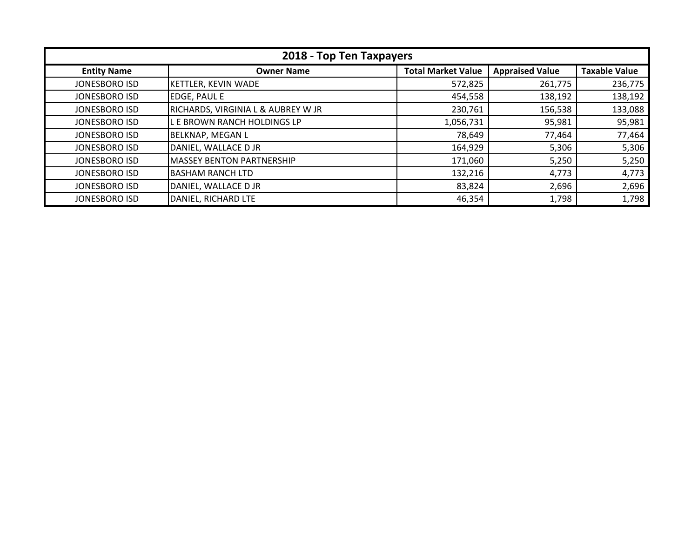| 2018 - Top Ten Taxpayers |                                               |                           |                        |                      |
|--------------------------|-----------------------------------------------|---------------------------|------------------------|----------------------|
| <b>Entity Name</b>       | <b>Owner Name</b>                             | <b>Total Market Value</b> | <b>Appraised Value</b> | <b>Taxable Value</b> |
| <b>JONESBORO ISD</b>     | <b>KETTLER, KEVIN WADE</b>                    | 572,825                   | 261,775                | 236,775              |
| JONESBORO ISD            | <b>EDGE, PAUL E</b>                           | 454,558                   | 138,192                | 138,192              |
| JONESBORO ISD            | <b>RICHARDS, VIRGINIA L &amp; AUBREY W JR</b> | 230,761                   | 156,538                | 133,088              |
| <b>JONESBORO ISD</b>     | L E BROWN RANCH HOLDINGS LP                   | 1,056,731                 | 95,981                 | 95,981               |
| <b>JONESBORO ISD</b>     | <b>BELKNAP, MEGAN L</b>                       | 78,649                    | 77,464                 | 77,464               |
| JONESBORO ISD            | DANIEL, WALLACE D JR                          | 164,929                   | 5,306                  | 5,306                |
| JONESBORO ISD            | <b>MASSEY BENTON PARTNERSHIP</b>              | 171,060                   | 5,250                  | 5,250                |
| JONESBORO ISD            | <b>BASHAM RANCH LTD</b>                       | 132,216                   | 4,773                  | 4,773                |
| <b>JONESBORO ISD</b>     | DANIEL, WALLACE D JR                          | 83,824                    | 2,696                  | 2,696                |
| <b>JONESBORO ISD</b>     | DANIEL, RICHARD LTE                           | 46,354                    | 1,798                  | 1,798                |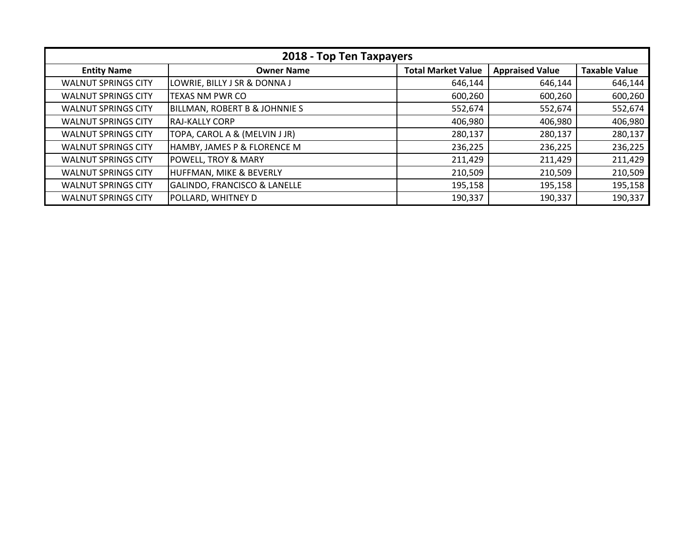| 2018 - Top Ten Taxpayers   |                                          |                           |                        |                      |
|----------------------------|------------------------------------------|---------------------------|------------------------|----------------------|
| <b>Entity Name</b>         | <b>Owner Name</b>                        | <b>Total Market Value</b> | <b>Appraised Value</b> | <b>Taxable Value</b> |
| <b>WALNUT SPRINGS CITY</b> | LOWRIE, BILLY J SR & DONNA J             | 646,144                   | 646,144                | 646,144              |
| <b>WALNUT SPRINGS CITY</b> | TEXAS NM PWR CO                          | 600,260                   | 600,260                | 600,260              |
| <b>WALNUT SPRINGS CITY</b> | <b>BILLMAN, ROBERT B &amp; JOHNNIE S</b> | 552,674                   | 552,674                | 552,674              |
| <b>WALNUT SPRINGS CITY</b> | IRAJ-KALLY CORP                          | 406,980                   | 406,980                | 406,980              |
| <b>WALNUT SPRINGS CITY</b> | TOPA, CAROL A & (MELVIN J JR)            | 280,137                   | 280,137                | 280,137              |
| <b>WALNUT SPRINGS CITY</b> | HAMBY, JAMES P & FLORENCE M              | 236,225                   | 236,225                | 236,225              |
| <b>WALNUT SPRINGS CITY</b> | <b>POWELL, TROY &amp; MARY</b>           | 211,429                   | 211,429                | 211,429              |
| <b>WALNUT SPRINGS CITY</b> | <b>HUFFMAN, MIKE &amp; BEVERLY</b>       | 210,509                   | 210,509                | 210,509              |
| <b>WALNUT SPRINGS CITY</b> | <b>GALINDO, FRANCISCO &amp; LANELLE</b>  | 195,158                   | 195,158                | 195,158              |
| <b>WALNUT SPRINGS CITY</b> | POLLARD, WHITNEY D                       | 190,337                   | 190,337                | 190,337              |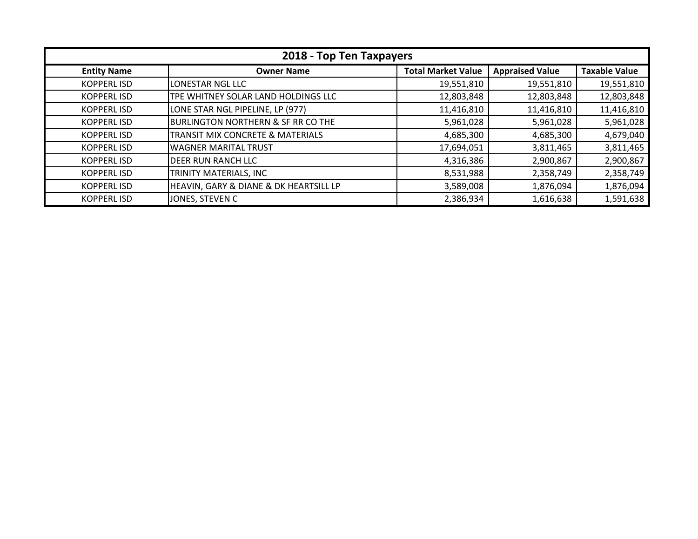| 2018 - Top Ten Taxpayers |                                                       |                           |                        |                      |
|--------------------------|-------------------------------------------------------|---------------------------|------------------------|----------------------|
| <b>Entity Name</b>       | <b>Owner Name</b>                                     | <b>Total Market Value</b> | <b>Appraised Value</b> | <b>Taxable Value</b> |
| <b>KOPPERLISD</b>        | LONESTAR NGL LLC                                      | 19,551,810                | 19,551,810             | 19,551,810           |
| <b>KOPPERLISD</b>        | TPE WHITNEY SOLAR LAND HOLDINGS LLC                   | 12,803,848                | 12,803,848             | 12,803,848           |
| <b>KOPPERLISD</b>        | LONE STAR NGL PIPELINE, LP (977)                      | 11,416,810                | 11,416,810             | 11,416,810           |
| <b>KOPPERL ISD</b>       | <b>BURLINGTON NORTHERN &amp; SF RR CO THE</b>         | 5,961,028                 | 5,961,028              | 5,961,028            |
| <b>KOPPERLISD</b>        | TRANSIT MIX CONCRETE & MATERIALS                      | 4,685,300                 | 4,685,300              | 4,679,040            |
| <b>KOPPERL ISD</b>       | <b>WAGNER MARITAL TRUST</b>                           | 17,694,051                | 3,811,465              | 3,811,465            |
| <b>KOPPERLISD</b>        | <b>DEER RUN RANCH LLC</b>                             | 4,316,386                 | 2,900,867              | 2,900,867            |
| <b>KOPPERLISD</b>        | TRINITY MATERIALS, INC                                | 8,531,988                 | 2,358,749              | 2,358,749            |
| <b>KOPPERLISD</b>        | <b>HEAVIN, GARY &amp; DIANE &amp; DK HEARTSILL LP</b> | 3,589,008                 | 1,876,094              | 1,876,094            |
| <b>KOPPERLISD</b>        | JONES, STEVEN C                                       | 2,386,934                 | 1,616,638              | 1,591,638            |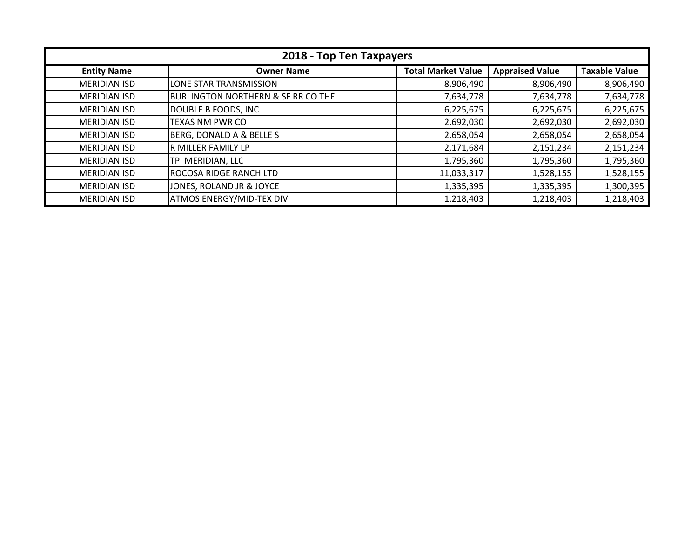| 2018 - Top Ten Taxpayers |                                               |                           |                        |                      |
|--------------------------|-----------------------------------------------|---------------------------|------------------------|----------------------|
| <b>Entity Name</b>       | <b>Owner Name</b>                             | <b>Total Market Value</b> | <b>Appraised Value</b> | <b>Taxable Value</b> |
| <b>MERIDIAN ISD</b>      | LONE STAR TRANSMISSION                        | 8,906,490                 | 8,906,490              | 8,906,490            |
| <b>MERIDIAN ISD</b>      | <b>BURLINGTON NORTHERN &amp; SF RR CO THE</b> | 7,634,778                 | 7,634,778              | 7,634,778            |
| <b>MERIDIAN ISD</b>      | DOUBLE B FOODS, INC                           | 6,225,675                 | 6,225,675              | 6,225,675            |
| <b>MERIDIAN ISD</b>      | <b>TEXAS NM PWR CO</b>                        | 2,692,030                 | 2,692,030              | 2,692,030            |
| <b>MERIDIAN ISD</b>      | BERG, DONALD A & BELLE S                      | 2,658,054                 | 2,658,054              | 2,658,054            |
| <b>MERIDIAN ISD</b>      | R MILLER FAMILY LP                            | 2,171,684                 | 2,151,234              | 2,151,234            |
| <b>MERIDIAN ISD</b>      | TPI MERIDIAN, LLC                             | 1,795,360                 | 1,795,360              | 1,795,360            |
| <b>MERIDIAN ISD</b>      | ROCOSA RIDGE RANCH LTD                        | 11,033,317                | 1,528,155              | 1,528,155            |
| <b>MERIDIAN ISD</b>      | JONES, ROLAND JR & JOYCE                      | 1,335,395                 | 1,335,395              | 1,300,395            |
| <b>MERIDIAN ISD</b>      | <b>ATMOS ENERGY/MID-TEX DIV</b>               | 1,218,403                 | 1,218,403              | 1,218,403            |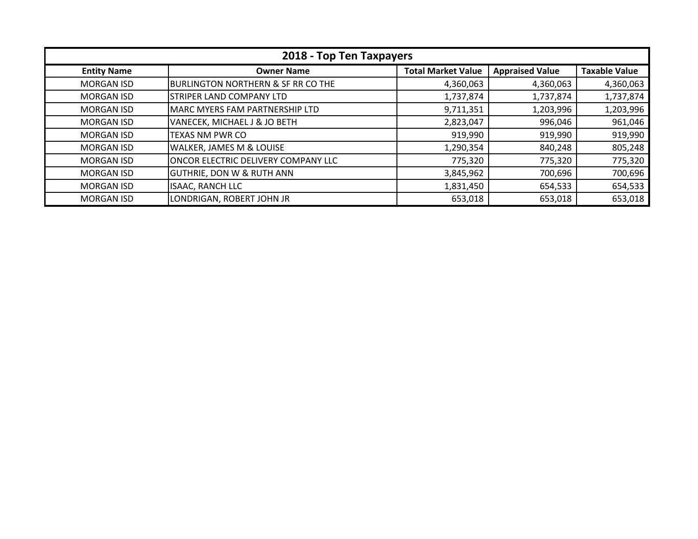| 2018 - Top Ten Taxpayers |                                               |                           |                        |                      |
|--------------------------|-----------------------------------------------|---------------------------|------------------------|----------------------|
| <b>Entity Name</b>       | <b>Owner Name</b>                             | <b>Total Market Value</b> | <b>Appraised Value</b> | <b>Taxable Value</b> |
| <b>MORGAN ISD</b>        | <b>BURLINGTON NORTHERN &amp; SF RR CO THE</b> | 4,360,063                 | 4,360,063              | 4,360,063            |
| <b>MORGAN ISD</b>        | <b>STRIPER LAND COMPANY LTD</b>               | 1,737,874                 | 1,737,874              | 1,737,874            |
| <b>MORGAN ISD</b>        | MARC MYERS FAM PARTNERSHIP LTD                | 9,711,351                 | 1,203,996              | 1,203,996            |
| <b>MORGAN ISD</b>        | VANECEK, MICHAEL J & JO BETH                  | 2,823,047                 | 996,046                | 961,046              |
| <b>MORGAN ISD</b>        | TEXAS NM PWR CO                               | 919,990                   | 919,990                | 919,990              |
| <b>MORGAN ISD</b>        | <b>WALKER, JAMES M &amp; LOUISE</b>           | 1,290,354                 | 840,248                | 805,248              |
| <b>MORGAN ISD</b>        | <b>ONCOR ELECTRIC DELIVERY COMPANY LLC</b>    | 775,320                   | 775,320                | 775,320              |
| <b>MORGAN ISD</b>        | <b>GUTHRIE, DON W &amp; RUTH ANN</b>          | 3,845,962                 | 700,696                | 700,696              |
| <b>MORGAN ISD</b>        | <b>ISAAC, RANCH LLC</b>                       | 1,831,450                 | 654,533                | 654,533              |
| <b>MORGAN ISD</b>        | LONDRIGAN, ROBERT JOHN JR                     | 653,018                   | 653,018                | 653,018              |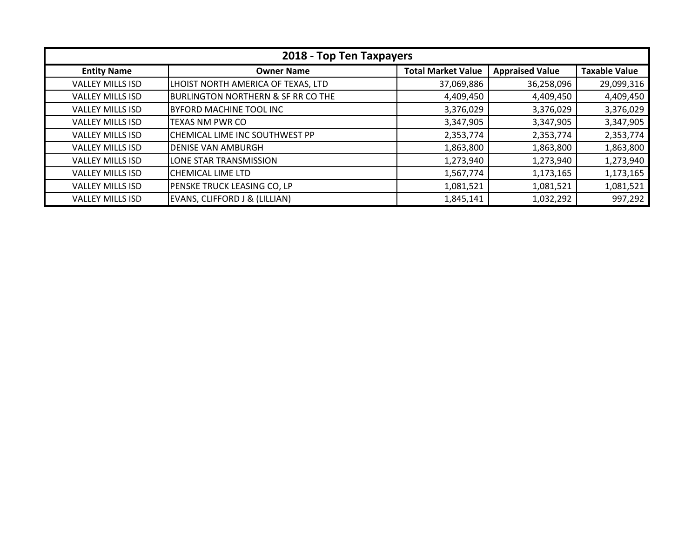| 2018 - Top Ten Taxpayers |                                               |                           |                        |                      |
|--------------------------|-----------------------------------------------|---------------------------|------------------------|----------------------|
| <b>Entity Name</b>       | <b>Owner Name</b>                             | <b>Total Market Value</b> | <b>Appraised Value</b> | <b>Taxable Value</b> |
| <b>VALLEY MILLS ISD</b>  | LHOIST NORTH AMERICA OF TEXAS, LTD            | 37,069,886                | 36,258,096             | 29,099,316           |
| <b>VALLEY MILLS ISD</b>  | <b>BURLINGTON NORTHERN &amp; SF RR CO THE</b> | 4,409,450                 | 4,409,450              | 4,409,450            |
| <b>VALLEY MILLS ISD</b>  | BYFORD MACHINE TOOL INC                       | 3,376,029                 | 3,376,029              | 3,376,029            |
| <b>VALLEY MILLS ISD</b>  | <b>TEXAS NM PWR CO</b>                        | 3,347,905                 | 3,347,905              | 3,347,905            |
| <b>VALLEY MILLS ISD</b>  | CHEMICAL LIME INC SOUTHWEST PP                | 2,353,774                 | 2,353,774              | 2,353,774            |
| <b>VALLEY MILLS ISD</b>  | <b>DENISE VAN AMBURGH</b>                     | 1,863,800                 | 1,863,800              | 1,863,800            |
| <b>VALLEY MILLS ISD</b>  | LONE STAR TRANSMISSION                        | 1,273,940                 | 1,273,940              | 1,273,940            |
| <b>VALLEY MILLS ISD</b>  | CHEMICAL LIME LTD                             | 1,567,774                 | 1,173,165              | 1,173,165            |
| <b>VALLEY MILLS ISD</b>  | PENSKE TRUCK LEASING CO, LP                   | 1,081,521                 | 1,081,521              | 1,081,521            |
| <b>VALLEY MILLS ISD</b>  | EVANS, CLIFFORD J & (LILLIAN)                 | 1,845,141                 | 1,032,292              | 997,292              |